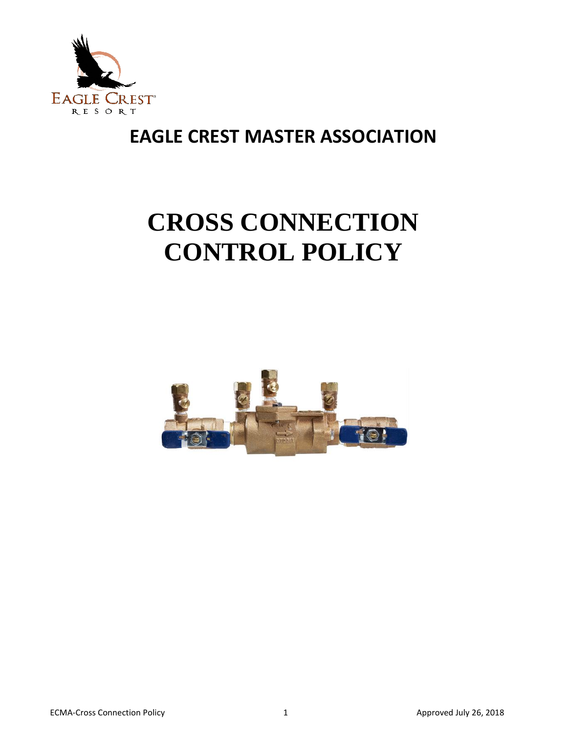

# **CROSS CONNECTION CONTROL POLICY**

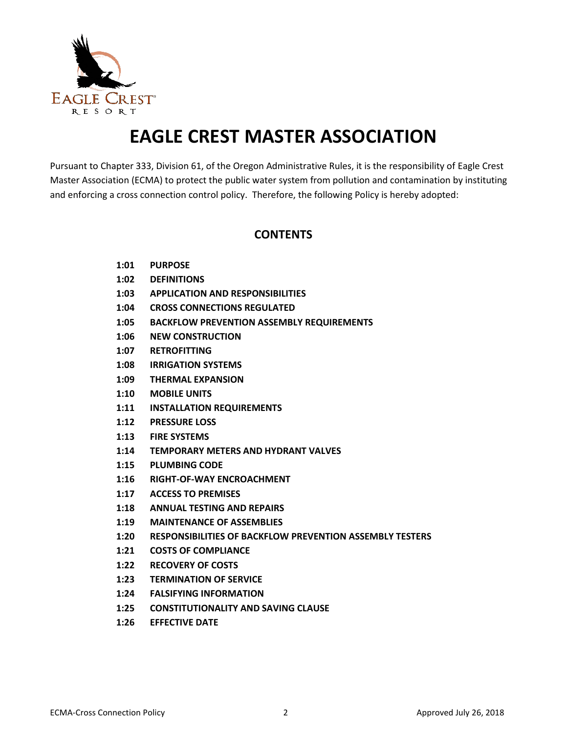

Pursuant to Chapter 333, Division 61, of the Oregon Administrative Rules, it is the responsibility of Eagle Crest Master Association (ECMA) to protect the public water system from pollution and contamination by instituting and enforcing a cross connection control policy. Therefore, the following Policy is hereby adopted:

#### **CONTENTS**

- **1:01 PURPOSE**
- **1:02 DEFINITIONS**
- **1:03 APPLICATION AND RESPONSIBILITIES**
- **1:04 CROSS CONNECTIONS REGULATED**
- **1:05 BACKFLOW PREVENTION ASSEMBLY REQUIREMENTS**
- **1:06 NEW CONSTRUCTION**
- **1:07 RETROFITTING**
- **1:08 IRRIGATION SYSTEMS**
- **1:09 THERMAL EXPANSION**
- **1:10 MOBILE UNITS**
- **1:11 INSTALLATION REQUIREMENTS**
- **1:12 PRESSURE LOSS**
- **1:13 FIRE SYSTEMS**
- **1:14 TEMPORARY METERS AND HYDRANT VALVES**
- **1:15 PLUMBING CODE**
- **1:16 RIGHT-OF-WAY ENCROACHMENT**
- **1:17 ACCESS TO PREMISES**
- **1:18 ANNUAL TESTING AND REPAIRS**
- **1:19 MAINTENANCE OF ASSEMBLIES**
- **1:20 RESPONSIBILITIES OF BACKFLOW PREVENTION ASSEMBLY TESTERS**
- **1:21 COSTS OF COMPLIANCE**
- **1:22 RECOVERY OF COSTS**
- **1:23 TERMINATION OF SERVICE**
- **1:24 FALSIFYING INFORMATION**
- **1:25 CONSTITUTIONALITY AND SAVING CLAUSE**
- **1:26 EFFECTIVE DATE**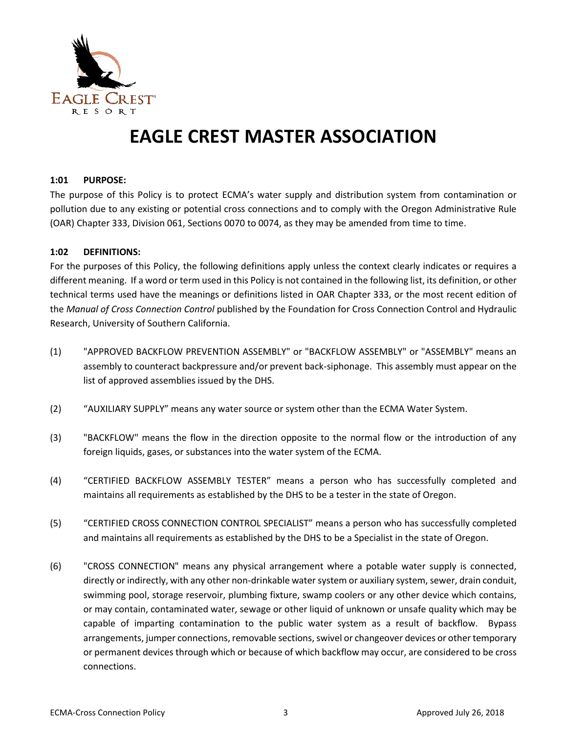

#### **1:01 PURPOSE:**

The purpose of this Policy is to protect ECMA's water supply and distribution system from contamination or pollution due to any existing or potential cross connections and to comply with the Oregon Administrative Rule (OAR) Chapter 333, Division 061, Sections 0070 to 0074, as they may be amended from time to time.

#### **1:02 DEFINITIONS:**

For the purposes of this Policy, the following definitions apply unless the context clearly indicates or requires a different meaning. If a word or term used in this Policy is not contained in the following list, its definition, or other technical terms used have the meanings or definitions listed in OAR Chapter 333, or the most recent edition of the *Manual of Cross Connection Control* published by the Foundation for Cross Connection Control and Hydraulic Research, University of Southern California.

- (1) "APPROVED BACKFLOW PREVENTION ASSEMBLY" or "BACKFLOW ASSEMBLY" or "ASSEMBLY" means an assembly to counteract backpressure and/or prevent back-siphonage. This assembly must appear on the list of approved assemblies issued by the DHS.
- (2) "AUXILIARY SUPPLY" means any water source or system other than the ECMA Water System.
- (3) "BACKFLOW" means the flow in the direction opposite to the normal flow or the introduction of any foreign liquids, gases, or substances into the water system of the ECMA.
- (4) "CERTIFIED BACKFLOW ASSEMBLY TESTER" means a person who has successfully completed and maintains all requirements as established by the DHS to be a tester in the state of Oregon.
- (5) "CERTIFIED CROSS CONNECTION CONTROL SPECIALIST" means a person who has successfully completed and maintains all requirements as established by the DHS to be a Specialist in the state of Oregon.
- (6) "CROSS CONNECTION" means any physical arrangement where a potable water supply is connected, directly or indirectly, with any other non-drinkable water system or auxiliary system, sewer, drain conduit, swimming pool, storage reservoir, plumbing fixture, swamp coolers or any other device which contains, or may contain, contaminated water, sewage or other liquid of unknown or unsafe quality which may be capable of imparting contamination to the public water system as a result of backflow. Bypass arrangements, jumper connections, removable sections, swivel or changeover devices or other temporary or permanent devices through which or because of which backflow may occur, are considered to be cross connections.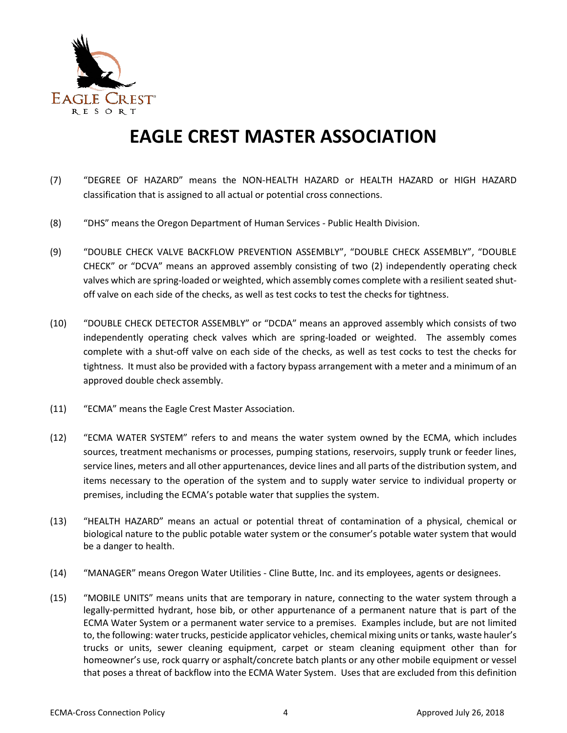

- (7) "DEGREE OF HAZARD" means the NON-HEALTH HAZARD or HEALTH HAZARD or HIGH HAZARD classification that is assigned to all actual or potential cross connections.
- (8) "DHS" means the Oregon Department of Human Services Public Health Division.
- (9) "DOUBLE CHECK VALVE BACKFLOW PREVENTION ASSEMBLY", "DOUBLE CHECK ASSEMBLY", "DOUBLE CHECK" or "DCVA" means an approved assembly consisting of two (2) independently operating check valves which are spring-loaded or weighted, which assembly comes complete with a resilient seated shutoff valve on each side of the checks, as well as test cocks to test the checks for tightness.
- (10) "DOUBLE CHECK DETECTOR ASSEMBLY" or "DCDA" means an approved assembly which consists of two independently operating check valves which are spring-loaded or weighted. The assembly comes complete with a shut-off valve on each side of the checks, as well as test cocks to test the checks for tightness. It must also be provided with a factory bypass arrangement with a meter and a minimum of an approved double check assembly.
- (11) "ECMA" means the Eagle Crest Master Association.
- (12) "ECMA WATER SYSTEM" refers to and means the water system owned by the ECMA, which includes sources, treatment mechanisms or processes, pumping stations, reservoirs, supply trunk or feeder lines, service lines, meters and all other appurtenances, device lines and all parts of the distribution system, and items necessary to the operation of the system and to supply water service to individual property or premises, including the ECMA's potable water that supplies the system.
- (13) "HEALTH HAZARD" means an actual or potential threat of contamination of a physical, chemical or biological nature to the public potable water system or the consumer's potable water system that would be a danger to health.
- (14) "MANAGER" means Oregon Water Utilities Cline Butte, Inc. and its employees, agents or designees.
- (15) "MOBILE UNITS" means units that are temporary in nature, connecting to the water system through a legally-permitted hydrant, hose bib, or other appurtenance of a permanent nature that is part of the ECMA Water System or a permanent water service to a premises. Examples include, but are not limited to, the following: water trucks, pesticide applicator vehicles, chemical mixing units or tanks, waste hauler's trucks or units, sewer cleaning equipment, carpet or steam cleaning equipment other than for homeowner's use, rock quarry or asphalt/concrete batch plants or any other mobile equipment or vessel that poses a threat of backflow into the ECMA Water System. Uses that are excluded from this definition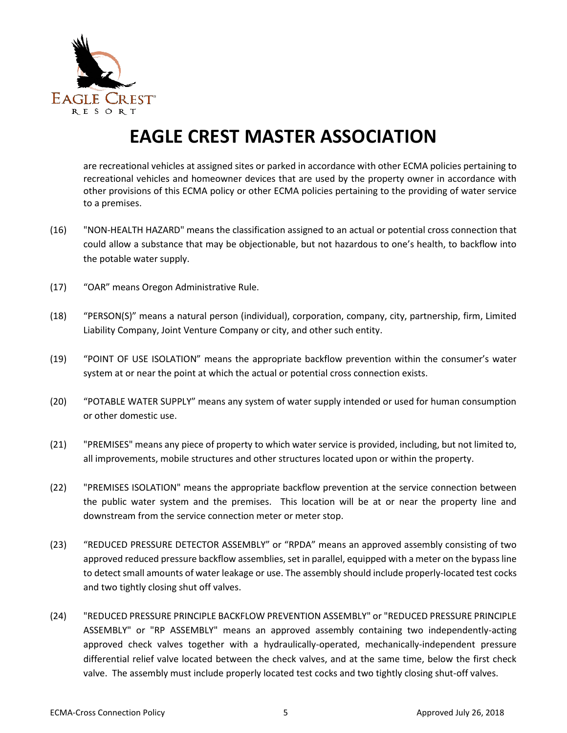

are recreational vehicles at assigned sites or parked in accordance with other ECMA policies pertaining to recreational vehicles and homeowner devices that are used by the property owner in accordance with other provisions of this ECMA policy or other ECMA policies pertaining to the providing of water service to a premises.

- (16) "NON-HEALTH HAZARD" means the classification assigned to an actual or potential cross connection that could allow a substance that may be objectionable, but not hazardous to one's health, to backflow into the potable water supply.
- (17) "OAR" means Oregon Administrative Rule.
- (18) "PERSON(S)" means a natural person (individual), corporation, company, city, partnership, firm, Limited Liability Company, Joint Venture Company or city, and other such entity.
- (19) "POINT OF USE ISOLATION" means the appropriate backflow prevention within the consumer's water system at or near the point at which the actual or potential cross connection exists.
- (20) "POTABLE WATER SUPPLY" means any system of water supply intended or used for human consumption or other domestic use.
- (21) "PREMISES" means any piece of property to which water service is provided, including, but not limited to, all improvements, mobile structures and other structures located upon or within the property.
- (22) "PREMISES ISOLATION" means the appropriate backflow prevention at the service connection between the public water system and the premises. This location will be at or near the property line and downstream from the service connection meter or meter stop.
- (23) "REDUCED PRESSURE DETECTOR ASSEMBLY" or "RPDA" means an approved assembly consisting of two approved reduced pressure backflow assemblies, set in parallel, equipped with a meter on the bypass line to detect small amounts of water leakage or use. The assembly should include properly-located test cocks and two tightly closing shut off valves.
- (24) "REDUCED PRESSURE PRINCIPLE BACKFLOW PREVENTION ASSEMBLY" or "REDUCED PRESSURE PRINCIPLE ASSEMBLY" or "RP ASSEMBLY" means an approved assembly containing two independently-acting approved check valves together with a hydraulically-operated, mechanically-independent pressure differential relief valve located between the check valves, and at the same time, below the first check valve. The assembly must include properly located test cocks and two tightly closing shut-off valves.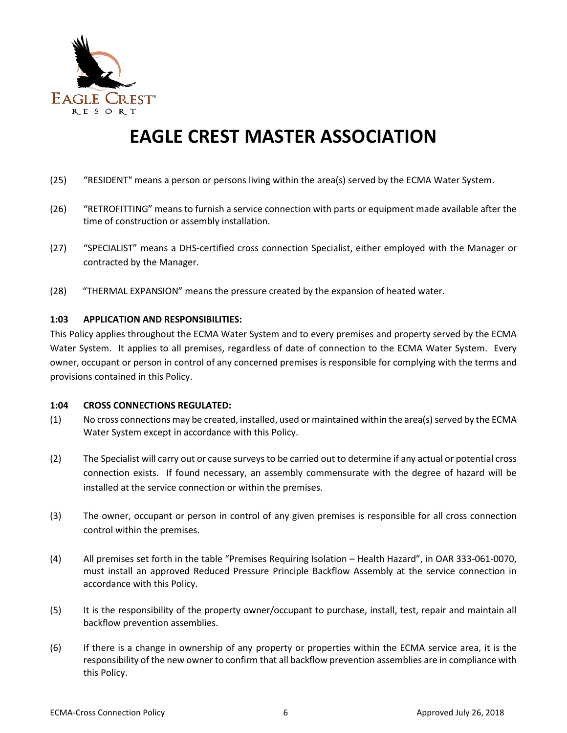

- (25) "RESIDENT" means a person or persons living within the area(s) served by the ECMA Water System.
- (26) "RETROFITTING" means to furnish a service connection with parts or equipment made available after the time of construction or assembly installation.
- (27) "SPECIALIST" means a DHS-certified cross connection Specialist, either employed with the Manager or contracted by the Manager.
- (28) "THERMAL EXPANSION" means the pressure created by the expansion of heated water.

#### **1:03 APPLICATION AND RESPONSIBILITIES:**

This Policy applies throughout the ECMA Water System and to every premises and property served by the ECMA Water System. It applies to all premises, regardless of date of connection to the ECMA Water System. Every owner, occupant or person in control of any concerned premises is responsible for complying with the terms and provisions contained in this Policy.

#### **1:04 CROSS CONNECTIONS REGULATED:**

- (1) No cross connections may be created, installed, used or maintained within the area(s) served by the ECMA Water System except in accordance with this Policy.
- (2) The Specialist will carry out or cause surveys to be carried out to determine if any actual or potential cross connection exists. If found necessary, an assembly commensurate with the degree of hazard will be installed at the service connection or within the premises.
- (3) The owner, occupant or person in control of any given premises is responsible for all cross connection control within the premises.
- (4) All premises set forth in the table "Premises Requiring Isolation Health Hazard", in OAR 333-061-0070, must install an approved Reduced Pressure Principle Backflow Assembly at the service connection in accordance with this Policy.
- (5) It is the responsibility of the property owner/occupant to purchase, install, test, repair and maintain all backflow prevention assemblies.
- (6) If there is a change in ownership of any property or properties within the ECMA service area, it is the responsibility of the new owner to confirm that all backflow prevention assemblies are in compliance with this Policy.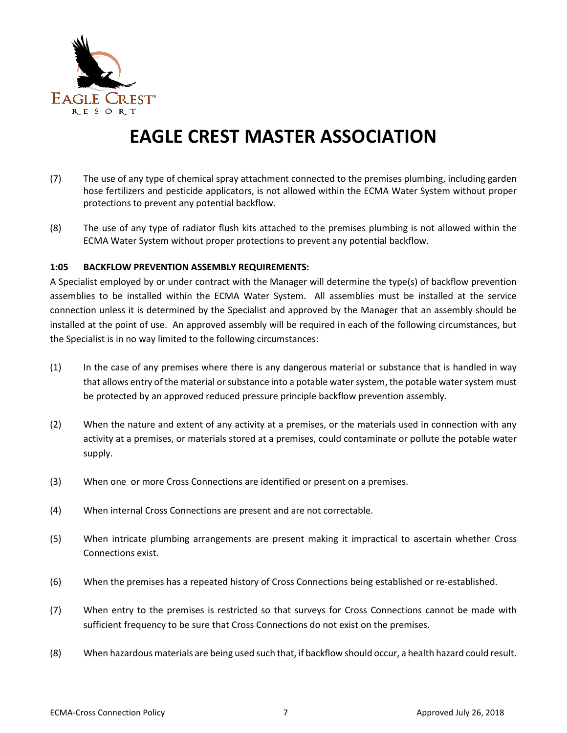

- (7) The use of any type of chemical spray attachment connected to the premises plumbing, including garden hose fertilizers and pesticide applicators, is not allowed within the ECMA Water System without proper protections to prevent any potential backflow.
- (8) The use of any type of radiator flush kits attached to the premises plumbing is not allowed within the ECMA Water System without proper protections to prevent any potential backflow.

#### **1:05 BACKFLOW PREVENTION ASSEMBLY REQUIREMENTS:**

A Specialist employed by or under contract with the Manager will determine the type(s) of backflow prevention assemblies to be installed within the ECMA Water System. All assemblies must be installed at the service connection unless it is determined by the Specialist and approved by the Manager that an assembly should be installed at the point of use. An approved assembly will be required in each of the following circumstances, but the Specialist is in no way limited to the following circumstances:

- (1) In the case of any premises where there is any dangerous material or substance that is handled in way that allows entry of the material or substance into a potable water system, the potable water system must be protected by an approved reduced pressure principle backflow prevention assembly.
- (2) When the nature and extent of any activity at a premises, or the materials used in connection with any activity at a premises, or materials stored at a premises, could contaminate or pollute the potable water supply.
- (3) When one or more Cross Connections are identified or present on a premises.
- (4) When internal Cross Connections are present and are not correctable.
- (5) When intricate plumbing arrangements are present making it impractical to ascertain whether Cross Connections exist.
- (6) When the premises has a repeated history of Cross Connections being established or re-established.
- (7) When entry to the premises is restricted so that surveys for Cross Connections cannot be made with sufficient frequency to be sure that Cross Connections do not exist on the premises.
- (8) When hazardous materials are being used such that, if backflow should occur, a health hazard could result.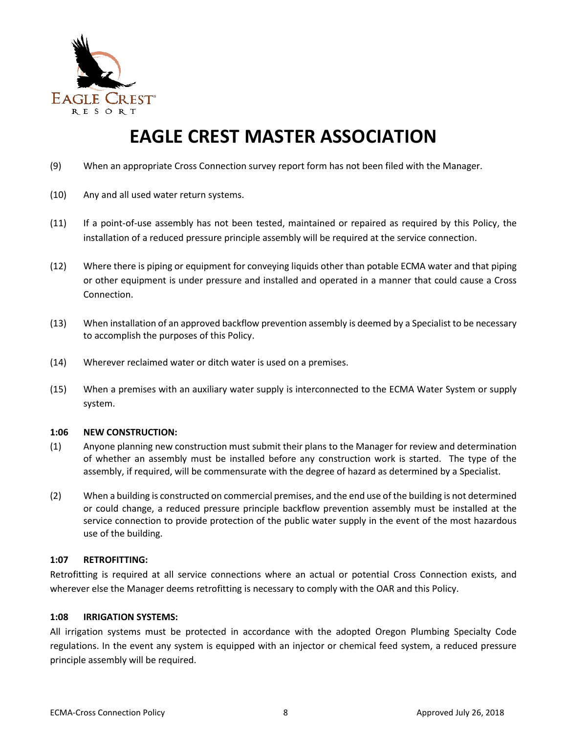

- (9) When an appropriate Cross Connection survey report form has not been filed with the Manager.
- (10) Any and all used water return systems.
- (11) If a point-of-use assembly has not been tested, maintained or repaired as required by this Policy, the installation of a reduced pressure principle assembly will be required at the service connection.
- (12) Where there is piping or equipment for conveying liquids other than potable ECMA water and that piping or other equipment is under pressure and installed and operated in a manner that could cause a Cross Connection.
- (13) When installation of an approved backflow prevention assembly is deemed by a Specialist to be necessary to accomplish the purposes of this Policy.
- (14) Wherever reclaimed water or ditch water is used on a premises.
- (15) When a premises with an auxiliary water supply is interconnected to the ECMA Water System or supply system.

#### **1:06 NEW CONSTRUCTION:**

- (1) Anyone planning new construction must submit their plans to the Manager for review and determination of whether an assembly must be installed before any construction work is started. The type of the assembly, if required, will be commensurate with the degree of hazard as determined by a Specialist.
- (2) When a building is constructed on commercial premises, and the end use of the building is not determined or could change, a reduced pressure principle backflow prevention assembly must be installed at the service connection to provide protection of the public water supply in the event of the most hazardous use of the building.

#### **1:07 RETROFITTING:**

Retrofitting is required at all service connections where an actual or potential Cross Connection exists, and wherever else the Manager deems retrofitting is necessary to comply with the OAR and this Policy.

#### **1:08 IRRIGATION SYSTEMS:**

All irrigation systems must be protected in accordance with the adopted Oregon Plumbing Specialty Code regulations. In the event any system is equipped with an injector or chemical feed system, a reduced pressure principle assembly will be required.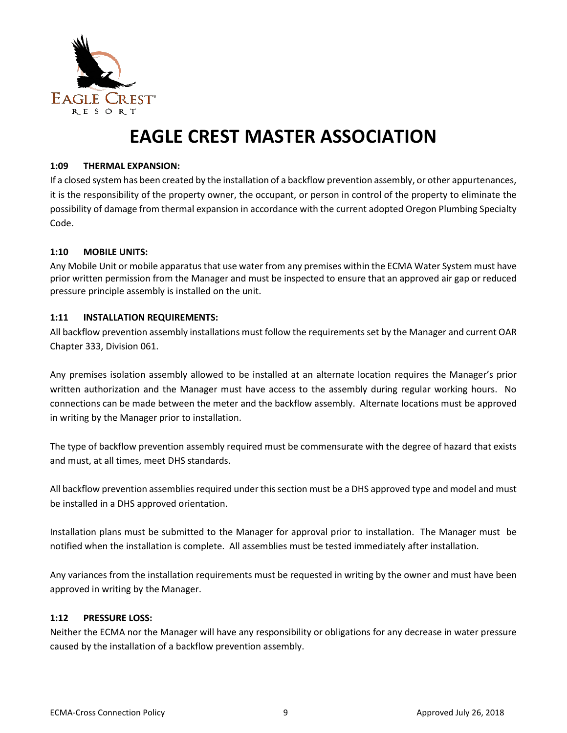

#### **1:09 THERMAL EXPANSION:**

If a closed system has been created by the installation of a backflow prevention assembly, or other appurtenances, it is the responsibility of the property owner, the occupant, or person in control of the property to eliminate the possibility of damage from thermal expansion in accordance with the current adopted Oregon Plumbing Specialty Code.

#### **1:10 MOBILE UNITS:**

Any Mobile Unit or mobile apparatus that use water from any premises within the ECMA Water System must have prior written permission from the Manager and must be inspected to ensure that an approved air gap or reduced pressure principle assembly is installed on the unit.

#### **1:11 INSTALLATION REQUIREMENTS:**

All backflow prevention assembly installations must follow the requirements set by the Manager and current OAR Chapter 333, Division 061.

Any premises isolation assembly allowed to be installed at an alternate location requires the Manager's prior written authorization and the Manager must have access to the assembly during regular working hours. No connections can be made between the meter and the backflow assembly. Alternate locations must be approved in writing by the Manager prior to installation.

The type of backflow prevention assembly required must be commensurate with the degree of hazard that exists and must, at all times, meet DHS standards.

All backflow prevention assemblies required under this section must be a DHS approved type and model and must be installed in a DHS approved orientation.

Installation plans must be submitted to the Manager for approval prior to installation. The Manager must be notified when the installation is complete. All assemblies must be tested immediately after installation.

Any variances from the installation requirements must be requested in writing by the owner and must have been approved in writing by the Manager.

#### **1:12 PRESSURE LOSS:**

Neither the ECMA nor the Manager will have any responsibility or obligations for any decrease in water pressure caused by the installation of a backflow prevention assembly.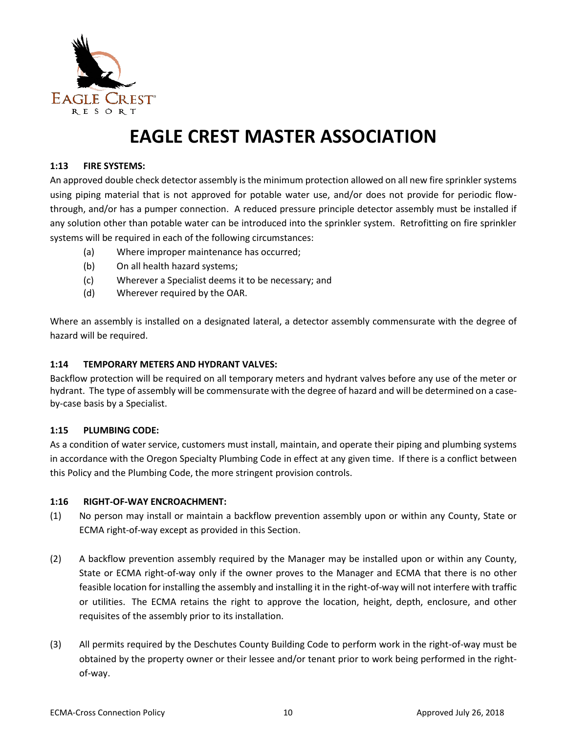

#### **1:13 FIRE SYSTEMS:**

An approved double check detector assembly is the minimum protection allowed on all new fire sprinkler systems using piping material that is not approved for potable water use, and/or does not provide for periodic flowthrough, and/or has a pumper connection. A reduced pressure principle detector assembly must be installed if any solution other than potable water can be introduced into the sprinkler system. Retrofitting on fire sprinkler systems will be required in each of the following circumstances:

- (a) Where improper maintenance has occurred;
- (b) On all health hazard systems;
- (c) Wherever a Specialist deems it to be necessary; and
- (d) Wherever required by the OAR.

Where an assembly is installed on a designated lateral, a detector assembly commensurate with the degree of hazard will be required.

#### **1:14 TEMPORARY METERS AND HYDRANT VALVES:**

Backflow protection will be required on all temporary meters and hydrant valves before any use of the meter or hydrant. The type of assembly will be commensurate with the degree of hazard and will be determined on a caseby-case basis by a Specialist.

#### **1:15 PLUMBING CODE:**

As a condition of water service, customers must install, maintain, and operate their piping and plumbing systems in accordance with the Oregon Specialty Plumbing Code in effect at any given time. If there is a conflict between this Policy and the Plumbing Code, the more stringent provision controls.

#### **1:16 RIGHT-OF-WAY ENCROACHMENT:**

- (1) No person may install or maintain a backflow prevention assembly upon or within any County, State or ECMA right-of-way except as provided in this Section.
- (2) A backflow prevention assembly required by the Manager may be installed upon or within any County, State or ECMA right-of-way only if the owner proves to the Manager and ECMA that there is no other feasible location for installing the assembly and installing it in the right-of-way will not interfere with traffic or utilities. The ECMA retains the right to approve the location, height, depth, enclosure, and other requisites of the assembly prior to its installation.
- (3) All permits required by the Deschutes County Building Code to perform work in the right-of-way must be obtained by the property owner or their lessee and/or tenant prior to work being performed in the rightof-way.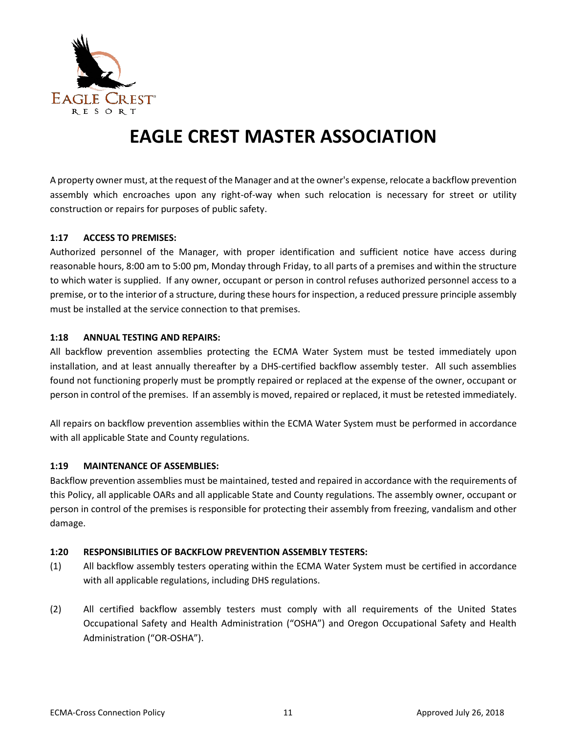

A property owner must, at the request of the Manager and at the owner's expense, relocate a backflow prevention assembly which encroaches upon any right-of-way when such relocation is necessary for street or utility construction or repairs for purposes of public safety.

#### **1:17 ACCESS TO PREMISES:**

Authorized personnel of the Manager, with proper identification and sufficient notice have access during reasonable hours, 8:00 am to 5:00 pm, Monday through Friday, to all parts of a premises and within the structure to which water is supplied. If any owner, occupant or person in control refuses authorized personnel access to a premise, or to the interior of a structure, during these hours for inspection, a reduced pressure principle assembly must be installed at the service connection to that premises.

#### **1:18 ANNUAL TESTING AND REPAIRS:**

All backflow prevention assemblies protecting the ECMA Water System must be tested immediately upon installation, and at least annually thereafter by a DHS-certified backflow assembly tester. All such assemblies found not functioning properly must be promptly repaired or replaced at the expense of the owner, occupant or person in control of the premises. If an assembly is moved, repaired or replaced, it must be retested immediately.

All repairs on backflow prevention assemblies within the ECMA Water System must be performed in accordance with all applicable State and County regulations.

#### **1:19 MAINTENANCE OF ASSEMBLIES:**

Backflow prevention assemblies must be maintained, tested and repaired in accordance with the requirements of this Policy, all applicable OARs and all applicable State and County regulations. The assembly owner, occupant or person in control of the premises is responsible for protecting their assembly from freezing, vandalism and other damage.

#### **1:20 RESPONSIBILITIES OF BACKFLOW PREVENTION ASSEMBLY TESTERS:**

- (1) All backflow assembly testers operating within the ECMA Water System must be certified in accordance with all applicable regulations, including DHS regulations.
- (2) All certified backflow assembly testers must comply with all requirements of the United States Occupational Safety and Health Administration ("OSHA") and Oregon Occupational Safety and Health Administration ("OR-OSHA").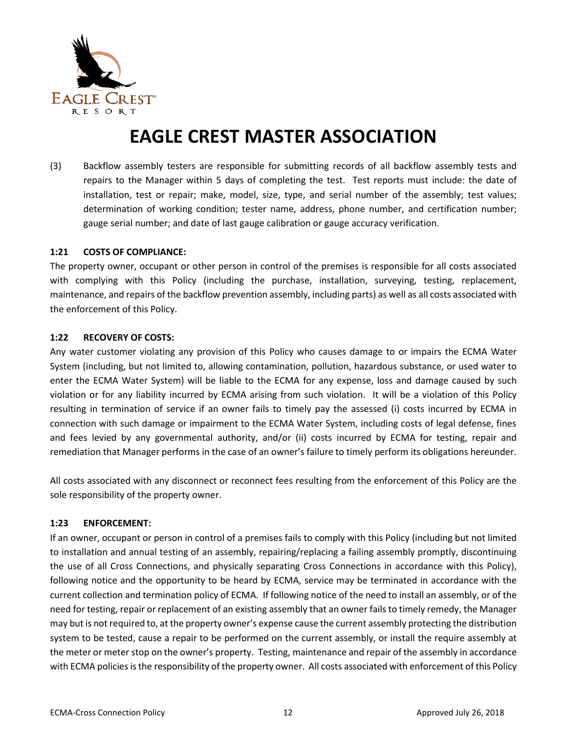

(3) Backflow assembly testers are responsible for submitting records of all backflow assembly tests and repairs to the Manager within 5 days of completing the test.Test reports must include: the date of installation, test or repair; make, model, size, type, and serial number of the assembly; test values; determination of working condition; tester name, address, phone number, and certification number; gauge serial number; and date of last gauge calibration or gauge accuracy verification.

#### **1:21 COSTS OF COMPLIANCE:**

The property owner, occupant or other person in control of the premises is responsible for all costs associated with complying with this Policy (including the purchase, installation, surveying, testing, replacement, maintenance, and repairs of the backflow prevention assembly, including parts) as well as all costs associated with the enforcement of this Policy.

#### **1:22 RECOVERY OF COSTS:**

Any water customer violating any provision of this Policy who causes damage to or impairs the ECMA Water System (including, but not limited to, allowing contamination, pollution, hazardous substance, or used water to enter the ECMA Water System) will be liable to the ECMA for any expense, loss and damage caused by such violation or for any liability incurred by ECMA arising from such violation. It will be a violation of this Policy resulting in termination of service if an owner fails to timely pay the assessed (i) costs incurred by ECMA in connection with such damage or impairment to the ECMA Water System, including costs of legal defense, fines and fees levied by any governmental authority, and/or (ii) costs incurred by ECMA for testing, repair and remediation that Manager performs in the case of an owner's failure to timely perform its obligations hereunder.

All costs associated with any disconnect or reconnect fees resulting from the enforcement of this Policy are the sole responsibility of the property owner.

#### **1:23 ENFORCEMENT:**

If an owner, occupant or person in control of a premises fails to comply with this Policy (including but not limited to installation and annual testing of an assembly, repairing/replacing a failing assembly promptly, discontinuing the use of all Cross Connections, and physically separating Cross Connections in accordance with this Policy), following notice and the opportunity to be heard by ECMA, service may be terminated in accordance with the current collection and termination policy of ECMA. If following notice of the need to install an assembly, or of the need for testing, repair or replacement of an existing assembly that an owner fails to timely remedy, the Manager may but is not required to, at the property owner's expense cause the current assembly protecting the distribution system to be tested, cause a repair to be performed on the current assembly, or install the require assembly at the meter or meter stop on the owner's property. Testing, maintenance and repair of the assembly in accordance with ECMA policies is the responsibility of the property owner. All costs associated with enforcement of this Policy